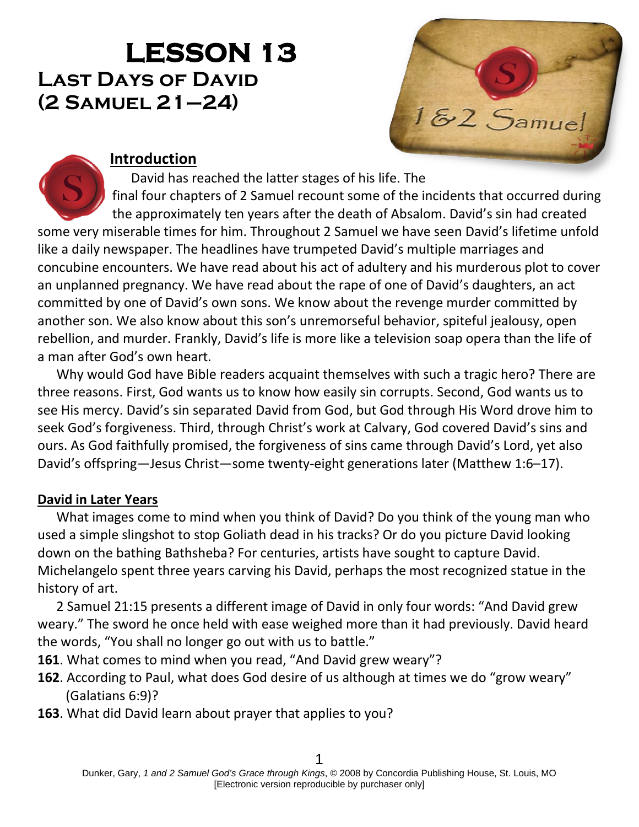# **LESSON 13 Last Days of David (2 Samuel 21–24)**



## **Introduction**

David has reached the latter stages of his life. The final four chapters of 2 Samuel recount some of the incidents that occurred during the approximately ten years after the death of Absalom. David's sin had created some very miserable times for him. Throughout 2 Samuel we have seen David's lifetime unfold like a daily newspaper. The headlines have trumpeted David's multiple marriages and concubine encounters. We have read about his act of adultery and his murderous plot to cover an unplanned pregnancy. We have read about the rape of one of David's daughters, an act committed by one of David's own sons. We know about the revenge murder committed by another son. We also know about this son's unremorseful behavior, spiteful jealousy, open rebellion, and murder. Frankly, David's life is more like a television soap opera than the life of a man after God's own heart.

Why would God have Bible readers acquaint themselves with such a tragic hero? There are three reasons. First, God wants us to know how easily sin corrupts. Second, God wants us to see His mercy. David's sin separated David from God, but God through His Word drove him to seek God's forgiveness. Third, through Christ's work at Calvary, God covered David's sins and ours. As God faithfully promised, the forgiveness of sins came through David's Lord, yet also David's offspring—Jesus Christ—some twenty-eight generations later (Matthew 1:6–17).

#### **David in Later Years**

What images come to mind when you think of David? Do you think of the young man who used a simple slingshot to stop Goliath dead in his tracks? Or do you picture David looking down on the bathing Bathsheba? For centuries, artists have sought to capture David. Michelangelo spent three years carving his David, perhaps the most recognized statue in the history of art.

2 Samuel 21:15 presents a different image of David in only four words: "And David grew weary." The sword he once held with ease weighed more than it had previously. David heard the words, "You shall no longer go out with us to battle."

- **161**. What comes to mind when you read, "And David grew weary"?
- **162**. According to Paul, what does God desire of us although at times we do "grow weary" (Galatians 6:9)?
- **163**. What did David learn about prayer that applies to you?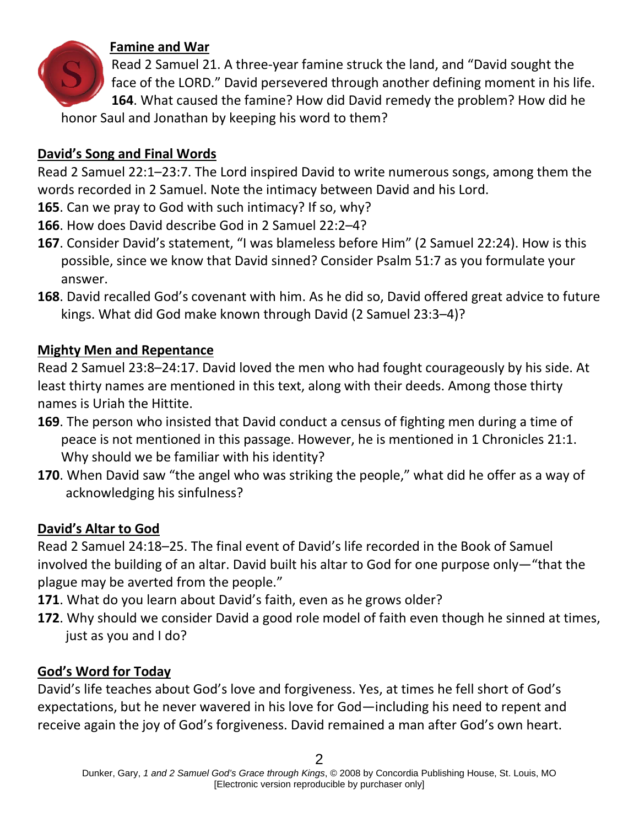

# **Famine and War**

Read 2 Samuel 21. A three-year famine struck the land, and "David sought the face of the LORD." David persevered through another defining moment in his life. **164**. What caused the famine? How did David remedy the problem? How did he honor Saul and Jonathan by keeping his word to them?

## **David's Song and Final Words**

Read 2 Samuel 22:1–23:7. The Lord inspired David to write numerous songs, among them the words recorded in 2 Samuel. Note the intimacy between David and his Lord.

- **165**. Can we pray to God with such intimacy? If so, why?
- **166**. How does David describe God in 2 Samuel 22:2–4?
- **167**. Consider David's statement, "I was blameless before Him" (2 Samuel 22:24). How is this possible, since we know that David sinned? Consider Psalm 51:7 as you formulate your answer.
- **168**. David recalled God's covenant with him. As he did so, David offered great advice to future kings. What did God make known through David (2 Samuel 23:3–4)?

#### **Mighty Men and Repentance**

Read 2 Samuel 23:8–24:17. David loved the men who had fought courageously by his side. At least thirty names are mentioned in this text, along with their deeds. Among those thirty names is Uriah the Hittite.

- **169**. The person who insisted that David conduct a census of fighting men during a time of peace is not mentioned in this passage. However, he is mentioned in 1 Chronicles 21:1. Why should we be familiar with his identity?
- **170**. When David saw "the angel who was striking the people," what did he offer as a way of acknowledging his sinfulness?

## **David's Altar to God**

Read 2 Samuel 24:18–25. The final event of David's life recorded in the Book of Samuel involved the building of an altar. David built his altar to God for one purpose only—"that the plague may be averted from the people."

- **171**. What do you learn about David's faith, even as he grows older?
- **172**. Why should we consider David a good role model of faith even though he sinned at times, just as you and I do?

## **God's Word for Today**

David's life teaches about God's love and forgiveness. Yes, at times he fell short of God's expectations, but he never wavered in his love for God—including his need to repent and receive again the joy of God's forgiveness. David remained a man after God's own heart.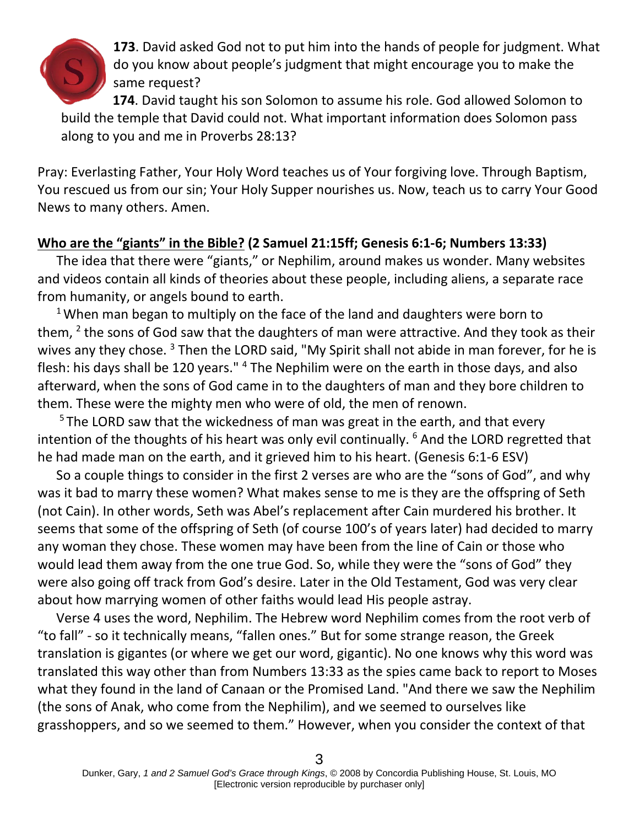

**173**. David asked God not to put him into the hands of people for judgment. What do you know about people's judgment that might encourage you to make the same request?

**174**. David taught his son Solomon to assume his role. God allowed Solomon to build the temple that David could not. What important information does Solomon pass along to you and me in Proverbs 28:13?

Pray: Everlasting Father, Your Holy Word teaches us of Your forgiving love. Through Baptism, You rescued us from our sin; Your Holy Supper nourishes us. Now, teach us to carry Your Good News to many others. Amen.

#### **Who are the "giants" in the Bible? (2 Samuel 21:15ff; Genesis 6:1-6; Numbers 13:33)**

The idea that there were "giants," or Nephilim, around makes us wonder. Many websites and videos contain all kinds of theories about these people, including aliens, a separate race from humanity, or angels bound to earth.

 $1$  When man began to multiply on the face of the land and daughters were born to them,  $2$  the sons of God saw that the daughters of man were attractive. And they took as their wives any they chose.<sup>3</sup> Then the LORD said, "My Spirit shall not abide in man forever, for he is flesh: his days shall be 120 years." <sup>4</sup> The Nephilim were on the earth in those days, and also afterward, when the sons of God came in to the daughters of man and they bore children to them. These were the mighty men who were of old, the men of renown.

 $5$  The LORD saw that the wickedness of man was great in the earth, and that every intention of the thoughts of his heart was only evil continually. <sup>6</sup> And the LORD regretted that he had made man on the earth, and it grieved him to his heart. (Genesis 6:1-6 ESV)

So a couple things to consider in the first 2 verses are who are the "sons of God", and why was it bad to marry these women? What makes sense to me is they are the offspring of Seth (not Cain). In other words, Seth was Abel's replacement after Cain murdered his brother. It seems that some of the offspring of Seth (of course 100's of years later) had decided to marry any woman they chose. These women may have been from the line of Cain or those who would lead them away from the one true God. So, while they were the "sons of God" they were also going off track from God's desire. Later in the Old Testament, God was very clear about how marrying women of other faiths would lead His people astray.

Verse 4 uses the word, Nephilim. The Hebrew word Nephilim comes from the root verb of "to fall" - so it technically means, "fallen ones." But for some strange reason, the Greek translation is gigantes (or where we get our word, gigantic). No one knows why this word was translated this way other than from Numbers 13:33 as the spies came back to report to Moses what they found in the land of Canaan or the Promised Land. "And there we saw the Nephilim (the sons of Anak, who come from the Nephilim), and we seemed to ourselves like grasshoppers, and so we seemed to them." However, when you consider the context of that